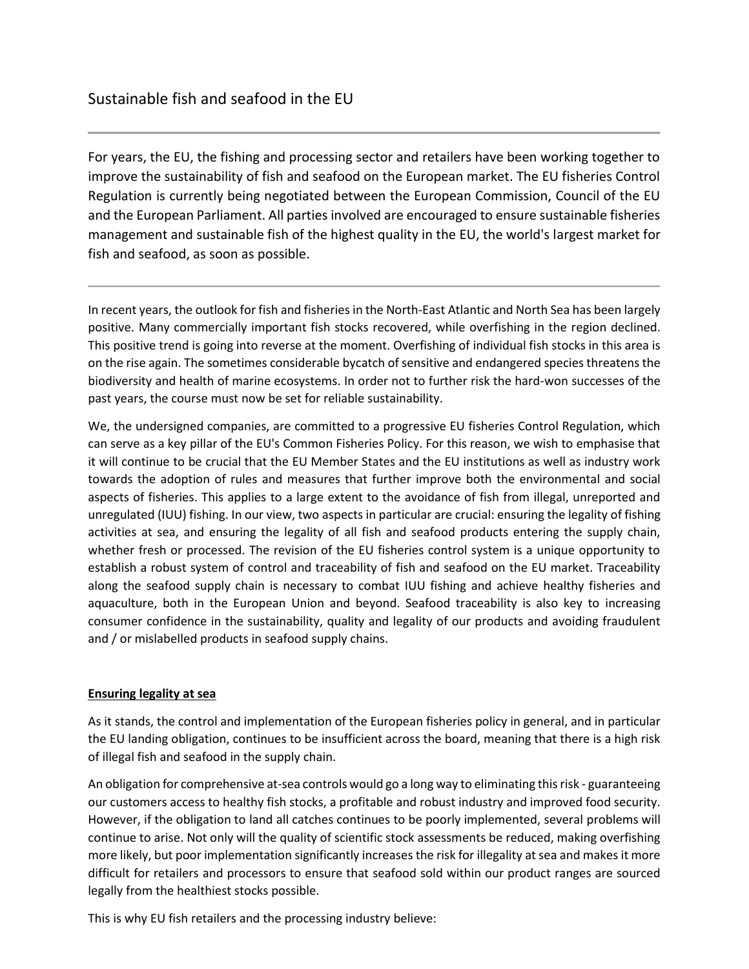For years, the EU, the fishing and processing sector and retailers have been working together to improve the sustainability of fish and seafood on the European market. The EU fisheries Control Regulation is currently being negotiated between the European Commission, Council of the EU and the European Parliament. All parties involved are encouraged to ensure sustainable fisheries management and sustainable fish of the highest quality in the EU, the world's largest market for fish and seafood, as soon as possible.

In recent years, the outlook for fish and fisheries in the North-East Atlantic and North Sea has been largely positive. Many commercially important fish stocks recovered, while overfishing in the region declined. This positive trend is going into reverse at the moment. Overfishing of individual fish stocks in this area is on the rise again. The sometimes considerable bycatch of sensitive and endangered species threatens the biodiversity and health of marine ecosystems. In order not to further risk the hard-won successes of the past years, the course must now be set for reliable sustainability.

We, the undersigned companies, are committed to a progressive EU fisheries Control Regulation, which can serve as a key pillar of the EU's Common Fisheries Policy. For this reason, we wish to emphasise that it will continue to be crucial that the EU Member States and the EU institutions as well as industry work towards the adoption of rules and measures that further improve both the environmental and social aspects of fisheries. This applies to a large extent to the avoidance of fish from illegal, unreported and unregulated (IUU) fishing. In our view, two aspects in particular are crucial: ensuring the legality of fishing activities at sea, and ensuring the legality of all fish and seafood products entering the supply chain, whether fresh or processed. The revision of the EU fisheries control system is a unique opportunity to establish a robust system of control and traceability of fish and seafood on the EU market. Traceability along the seafood supply chain is necessary to combat IUU fishing and achieve healthy fisheries and aquaculture, both in the European Union and beyond. Seafood traceability is also key to increasing consumer confidence in the sustainability, quality and legality of our products and avoiding fraudulent and / or mislabelled products in seafood supply chains.

## **Ensuring legality at sea**

As it stands, the control and implementation of the European fisheries policy in general, and in particular the EU landing obligation, continues to be insufficient across the board, meaning that there is a high risk of illegal fish and seafood in the supply chain.

An obligation for comprehensive at-sea controls would go a long way to eliminating this risk - guaranteeing our customers access to healthy fish stocks, a profitable and robust industry and improved food security. However, if the obligation to land all catches continues to be poorly implemented, several problems will continue to arise. Not only will the quality of scientific stock assessments be reduced, making overfishing more likely, but poor implementation significantly increases the risk for illegality at sea and makes it more difficult for retailers and processors to ensure that seafood sold within our product ranges are sourced legally from the healthiest stocks possible.

This is why EU fish retailers and the processing industry believe: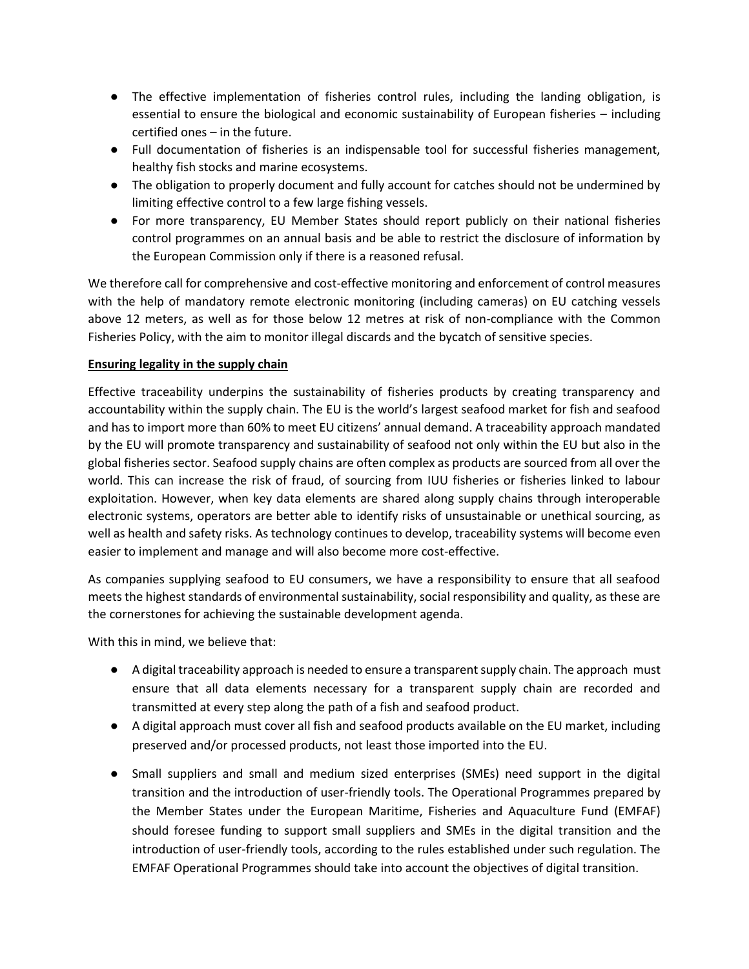- The effective implementation of fisheries control rules, including the landing obligation, is essential to ensure the biological and economic sustainability of European fisheries – including certified ones – in the future.
- Full documentation of fisheries is an indispensable tool for successful fisheries management, healthy fish stocks and marine ecosystems.
- The obligation to properly document and fully account for catches should not be undermined by limiting effective control to a few large fishing vessels.
- For more transparency, EU Member States should report publicly on their national fisheries control programmes on an annual basis and be able to restrict the disclosure of information by the European Commission only if there is a reasoned refusal.

We therefore call for comprehensive and cost-effective monitoring and enforcement of control measures with the help of mandatory remote electronic monitoring (including cameras) on EU catching vessels above 12 meters, as well as for those below 12 metres at risk of non-compliance with the Common Fisheries Policy, with the aim to monitor illegal discards and the bycatch of sensitive species.

## **Ensuring legality in the supply chain**

Effective traceability underpins the sustainability of fisheries products by creating transparency and accountability within the supply chain. The EU is the world's largest seafood market for fish and seafood and has to import more than 60% to meet EU citizens' annual demand. A traceability approach mandated by the EU will promote transparency and sustainability of seafood not only within the EU but also in the global fisheries sector. Seafood supply chains are often complex as products are sourced from all over the world. This can increase the risk of fraud, of sourcing from IUU fisheries or fisheries linked to labour exploitation. However, when key data elements are shared along supply chains through interoperable electronic systems, operators are better able to identify risks of unsustainable or unethical sourcing, as well as health and safety risks. As technology continues to develop, traceability systems will become even easier to implement and manage and will also become more cost-effective.

As companies supplying seafood to EU consumers, we have a responsibility to ensure that all seafood meets the highest standards of environmental sustainability, social responsibility and quality, as these are the cornerstones for achieving the sustainable development agenda.

With this in mind, we believe that:

- A digital traceability approach is needed to ensure a transparent supply chain. The approach must ensure that all data elements necessary for a transparent supply chain are recorded and transmitted at every step along the path of a fish and seafood product.
- A digital approach must cover all fish and seafood products available on the EU market, including preserved and/or processed products, not least those imported into the EU.
- Small suppliers and small and medium sized enterprises (SMEs) need support in the digital transition and the introduction of user-friendly tools. The Operational Programmes prepared by the Member States under the European Maritime, Fisheries and Aquaculture Fund (EMFAF) should foresee funding to support small suppliers and SMEs in the digital transition and the introduction of user-friendly tools, according to the rules established under such regulation. The EMFAF Operational Programmes should take into account the objectives of digital transition.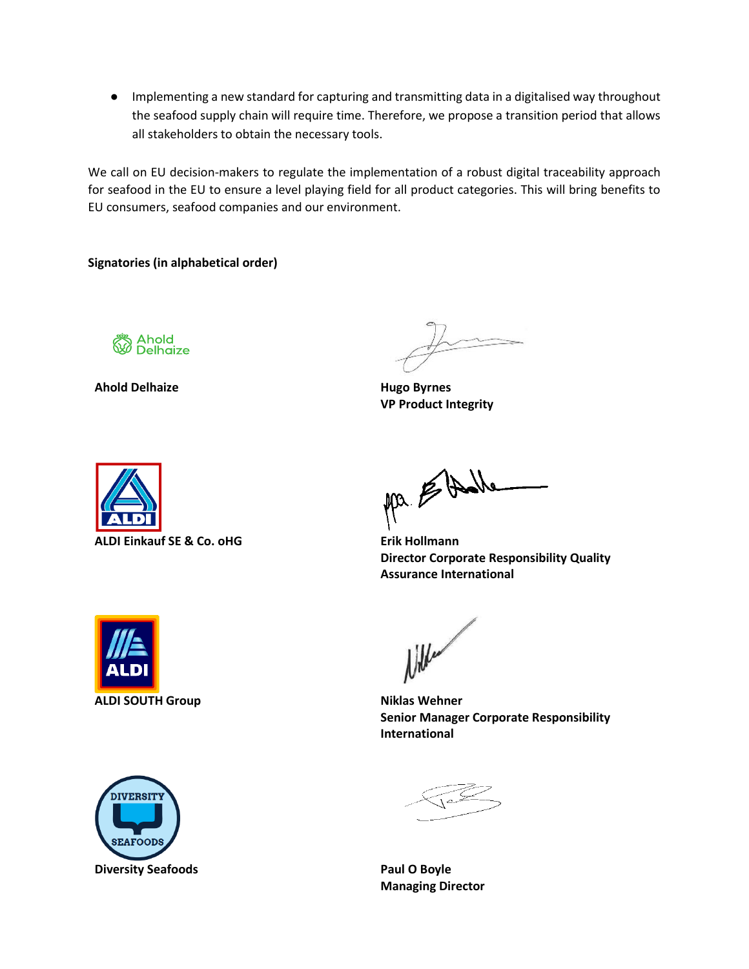● Implementing a new standard for capturing and transmitting data in a digitalised way throughout the seafood supply chain will require time. Therefore, we propose a transition period that allows all stakeholders to obtain the necessary tools.

We call on EU decision-makers to regulate the implementation of a robust digital traceability approach for seafood in the EU to ensure a level playing field for all product categories. This will bring benefits to EU consumers, seafood companies and our environment.

**Signatories (in alphabetical order)**



**Ahold Delhaize Hugo Byrnes**

**VP Product Integrity**



ALDI Einkauf SE & Co. oHG **Example 20 Example 20 Erik Hollmann** 

Mr. E Dalle

**Director Corporate Responsibility Quality Assurance International**





l ille

**Senior Manager Corporate Responsibility International**

**Managing Director**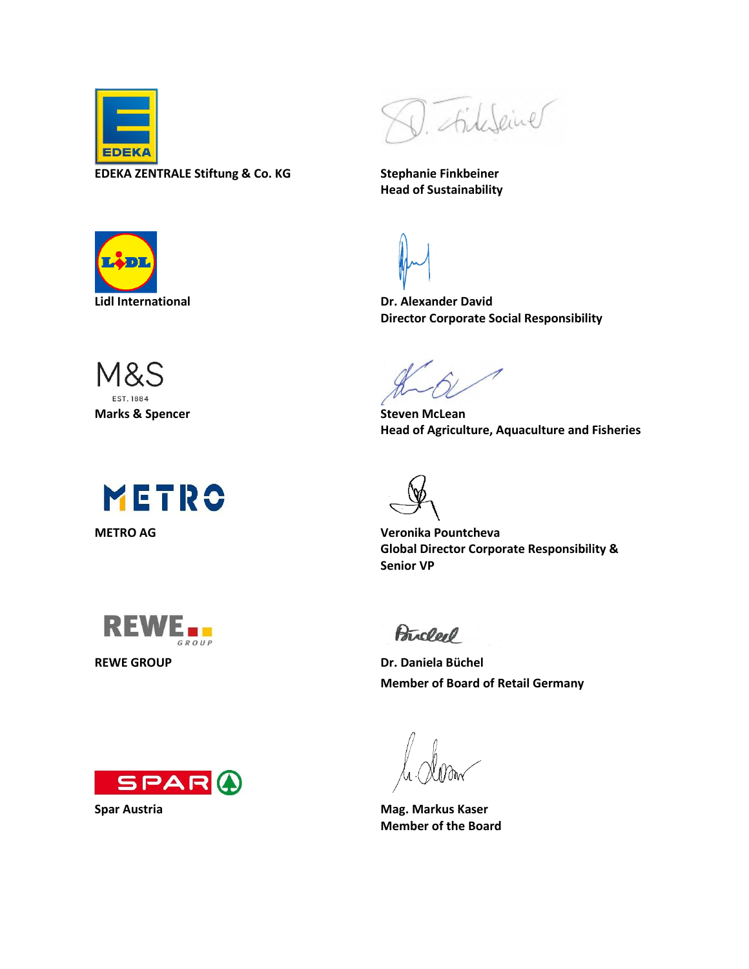

**EDEKA ZENTRALE Stiftung & Co. KG Stephanie Finkbeiner**



**Head of Sustainability**



M&S EST. 1884 **Marks & Spencer Steven McLean** 







**Lidl International Dr. Alexander David Director Corporate Social Responsibility**

**Head of Agriculture, Aquaculture and Fisheries**

**METRO AG Veronika Pountcheva Global Director Corporate Responsibility & Senior VP**

Bricler

**REWE GROUP Dr. Daniela Büchel Member of Board of Retail Germany** 

**Spar Austria Mag. Markus Kaser Member of the Board**